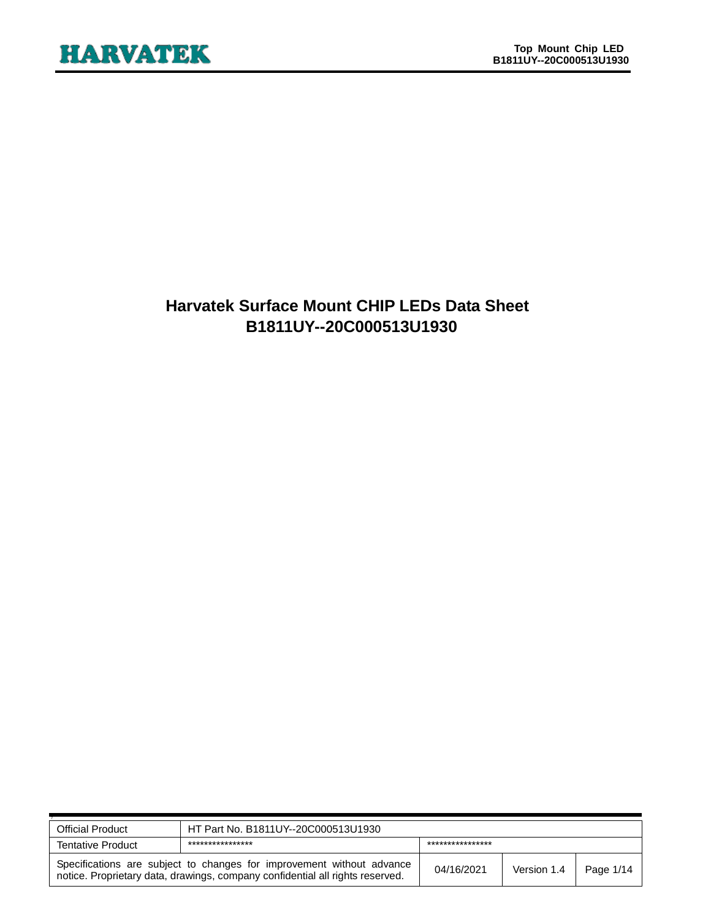# **Harvatek Surface Mount CHIP LEDs Data Sheet B1811UY--20C000513U1930**

| <b>Official Product</b>                                                                                                                                | HT Part No. B1811UY--20C000513U1930  |            |             |           |  |
|--------------------------------------------------------------------------------------------------------------------------------------------------------|--------------------------------------|------------|-------------|-----------|--|
| <b>Tentative Product</b>                                                                                                                               | ****************<br>**************** |            |             |           |  |
| Specifications are subject to changes for improvement without advance<br>notice. Proprietary data, drawings, company confidential all rights reserved. |                                      | 04/16/2021 | Version 1.4 | Page 1/14 |  |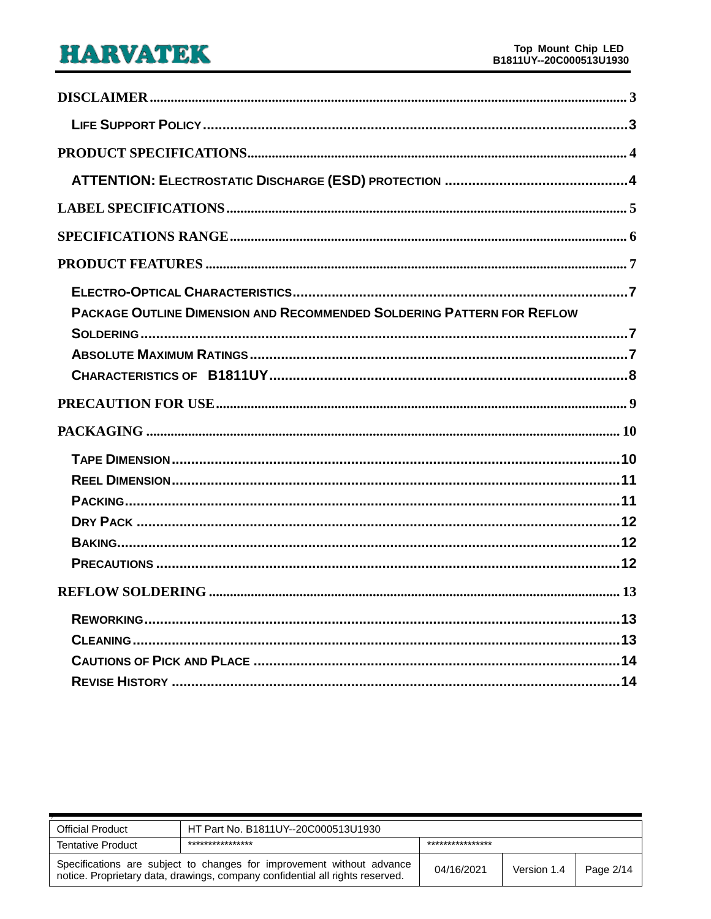| <b>PACKAGE OUTLINE DIMENSION AND RECOMMENDED SOLDERING PATTERN FOR REFLOW</b> |
|-------------------------------------------------------------------------------|
|                                                                               |
|                                                                               |
|                                                                               |
|                                                                               |
|                                                                               |
|                                                                               |
|                                                                               |
|                                                                               |
|                                                                               |
|                                                                               |
|                                                                               |
|                                                                               |
|                                                                               |
|                                                                               |
|                                                                               |
|                                                                               |

| <b>Official Product</b>                                                                                                                                | HT Part No. B1811UY--20C000513U1930 |                  |             |           |  |
|--------------------------------------------------------------------------------------------------------------------------------------------------------|-------------------------------------|------------------|-------------|-----------|--|
| <b>Tentative Product</b>                                                                                                                               | ****************                    | **************** |             |           |  |
| Specifications are subject to changes for improvement without advance<br>notice. Proprietary data, drawings, company confidential all rights reserved. |                                     | 04/16/2021       | Version 1.4 | Page 2/14 |  |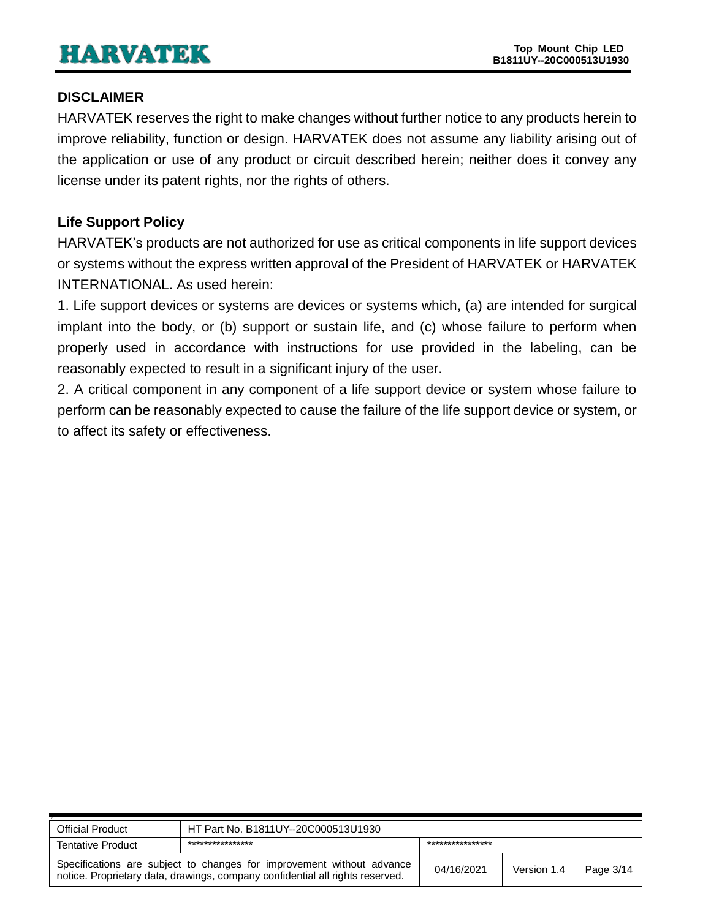## <span id="page-2-0"></span>**DISCLAIMER**

HARVATEK reserves the right to make changes without further notice to any products herein to improve reliability, function or design. HARVATEK does not assume any liability arising out of the application or use of any product or circuit described herein; neither does it convey any license under its patent rights, nor the rights of others.

# <span id="page-2-1"></span>**Life Support Policy**

HARVATEK's products are not authorized for use as critical components in life support devices or systems without the express written approval of the President of HARVATEK or HARVATEK INTERNATIONAL. As used herein:

1. Life support devices or systems are devices or systems which, (a) are intended for surgical implant into the body, or (b) support or sustain life, and (c) whose failure to perform when properly used in accordance with instructions for use provided in the labeling, can be reasonably expected to result in a significant injury of the user.

2. A critical component in any component of a life support device or system whose failure to perform can be reasonably expected to cause the failure of the life support device or system, or to affect its safety or effectiveness.

| <b>Official Product</b>  | HT Part No. B1811UY--20C000513U1930                                                                                                                    |            |             |           |  |
|--------------------------|--------------------------------------------------------------------------------------------------------------------------------------------------------|------------|-------------|-----------|--|
| <b>Tentative Product</b> | ****************<br>***************                                                                                                                    |            |             |           |  |
|                          | Specifications are subject to changes for improvement without advance<br>notice. Proprietary data, drawings, company confidential all rights reserved. | 04/16/2021 | Version 1.4 | Page 3/14 |  |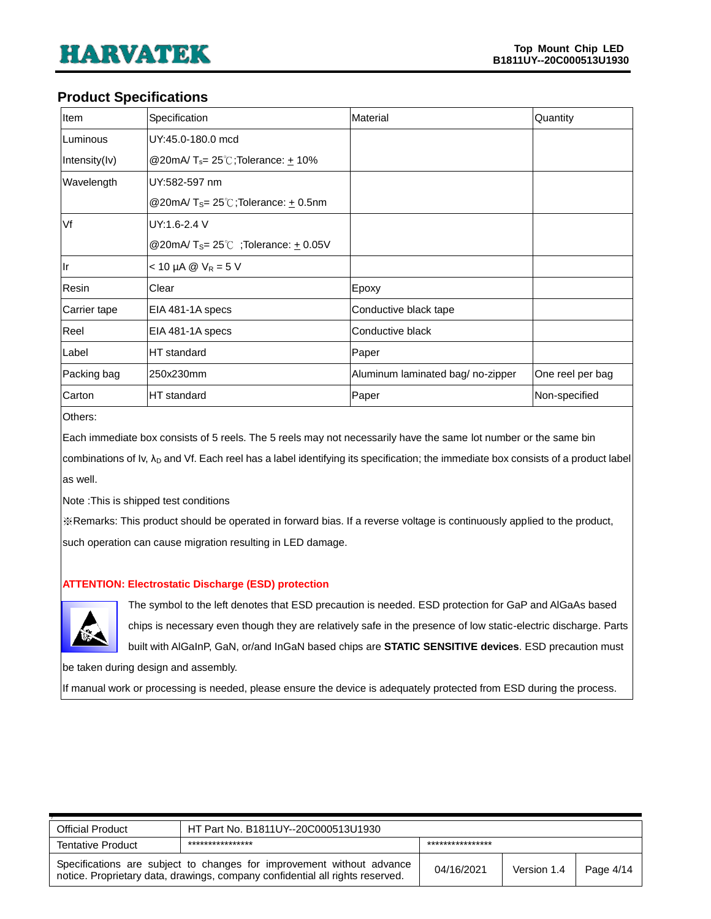#### <span id="page-3-0"></span>**Product Specifications**

| Item          | Specification                                                 | Material                         | Quantity         |
|---------------|---------------------------------------------------------------|----------------------------------|------------------|
| Luminous      | UY:45.0-180.0 mcd                                             |                                  |                  |
| Intensity(Iv) | @20mA/ $T_s = 25^\circ\text{C}$ ; Tolerance: $\pm$ 10%        |                                  |                  |
| Wavelength    | UY:582-597 nm                                                 |                                  |                  |
|               | @20mA/T <sub>S</sub> = $25^{\circ}$ C;Tolerance: $\pm$ 0.5nm  |                                  |                  |
| Vf            | UY:1.6-2.4 V                                                  |                                  |                  |
|               | @20mA/T <sub>S</sub> = $25^{\circ}$ C; Tolerance: $\pm$ 0.05V |                                  |                  |
| llr           | $< 10 \mu A \otimes V_R = 5 V$                                |                                  |                  |
| Resin         | Clear                                                         | Epoxy                            |                  |
| Carrier tape  | EIA 481-1A specs                                              | Conductive black tape            |                  |
| Reel          | EIA 481-1A specs                                              | Conductive black                 |                  |
| Label         | HT standard                                                   | Paper                            |                  |
| Packing bag   | 250x230mm                                                     | Aluminum laminated bag/no-zipper | One reel per bag |
| Carton        | HT standard                                                   | Paper                            | Non-specified    |

Others:

Each immediate box consists of 5 reels. The 5 reels may not necessarily have the same lot number or the same bin

combinations of Iv, λ<sub>D</sub> and Vf. Each reel has a label identifying its specification; the immediate box consists of a product label as well.

Note :This is shipped test conditions

※Remarks: This product should be operated in forward bias. If a reverse voltage is continuously applied to the product, such operation can cause migration resulting in LED damage.

#### <span id="page-3-1"></span>**ATTENTION: Electrostatic Discharge (ESD) protection**



The symbol to the left denotes that ESD precaution is needed. ESD protection for GaP and AlGaAs based chips is necessary even though they are relatively safe in the presence of low static-electric discharge. Parts built with AlGaInP, GaN, or/and InGaN based chips are **STATIC SENSITIVE devices**. ESD precaution must

be taken during design and assembly.

If manual work or processing is needed, please ensure the device is adequately protected from ESD during the process.

| <b>Official Product</b>  | HT Part No. B1811UY--20C000513U1930                                                                                                                    |            |             |           |  |
|--------------------------|--------------------------------------------------------------------------------------------------------------------------------------------------------|------------|-------------|-----------|--|
| <b>Tentative Product</b> | ****************<br>***************                                                                                                                    |            |             |           |  |
|                          | Specifications are subject to changes for improvement without advance<br>notice. Proprietary data, drawings, company confidential all rights reserved. | 04/16/2021 | Version 1.4 | Page 4/14 |  |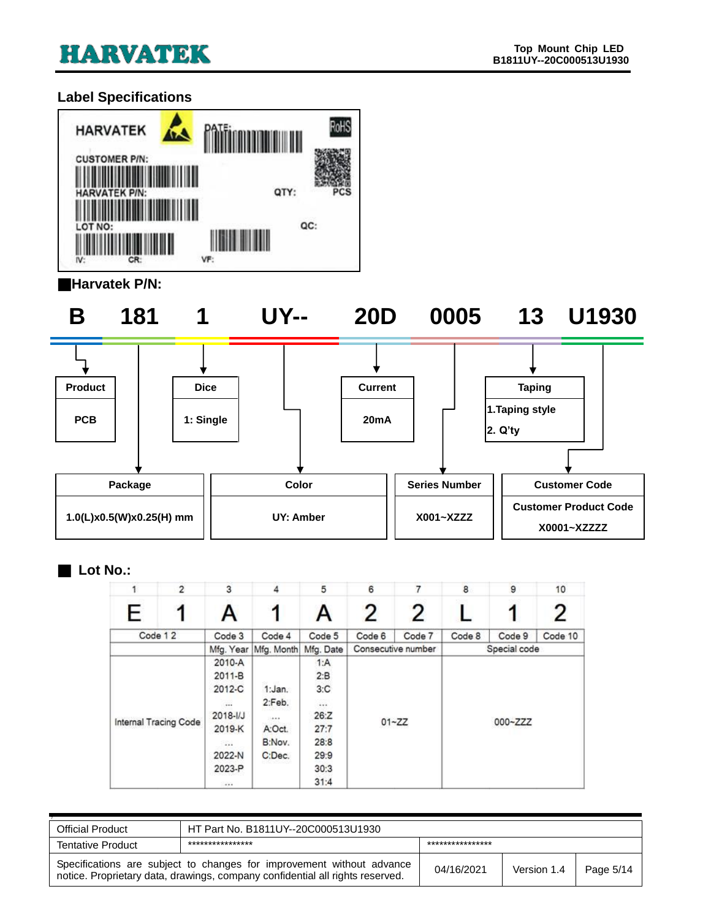# <span id="page-4-0"></span>**Label Specifications**



#### ■**Harvatek P/N:**

**B 181 1 UY-- 20D 0005 13 U1930**





#### ■ **Lot No.:**

|   | $\overline{2}$        | 3            | 4          | 5         | 6         |                    | 8      | 9            | 10      |
|---|-----------------------|--------------|------------|-----------|-----------|--------------------|--------|--------------|---------|
| E |                       | Α            |            | A         | 2         | 2                  |        |              | 2       |
|   | Code 12               | Code 3       | Code 4     | Code 5    | Code 6    | Code 7             | Code 8 | Code 9       | Code 10 |
|   |                       | Mfg. Year    | Mfg. Month | Mfg. Date |           | Consecutive number |        | Special code |         |
|   |                       | 2010-A       |            | 1:A       |           |                    |        |              |         |
|   |                       | 2011-B       | 2:B        |           |           |                    |        |              |         |
|   |                       | 2012-C       | 1:Jan.     | 3:C       |           |                    |        |              |         |
|   |                       | 111          | 2:Feb.     |           |           |                    |        |              |         |
|   |                       | $2018 - 1/J$ | 14.4.9     | 26:Z      | $01 - ZZ$ |                    |        |              |         |
|   | Internal Tracing Code | 2019-K       | A:Oct.     | 27:7      |           |                    |        | 000~ZZZ      |         |
|   |                       | $\sim$       | B:Nov.     | 28:8      |           |                    |        |              |         |
|   |                       | 2022-N       | C:Dec.     | 29:9      |           |                    |        |              |         |
|   |                       | 2023-P       |            | 30:3      |           |                    |        |              |         |
|   |                       | $-40.4$      |            | 31:4      |           |                    |        |              |         |

| <b>Official Product</b>                                                                                                                                | HT Part No. B1811UY--20C000513U1930 |            |             |           |  |
|--------------------------------------------------------------------------------------------------------------------------------------------------------|-------------------------------------|------------|-------------|-----------|--|
| <b>Tentative Product</b>                                                                                                                               | ****************<br>*************** |            |             |           |  |
| Specifications are subject to changes for improvement without advance<br>notice. Proprietary data, drawings, company confidential all rights reserved. |                                     | 04/16/2021 | Version 1.4 | Page 5/14 |  |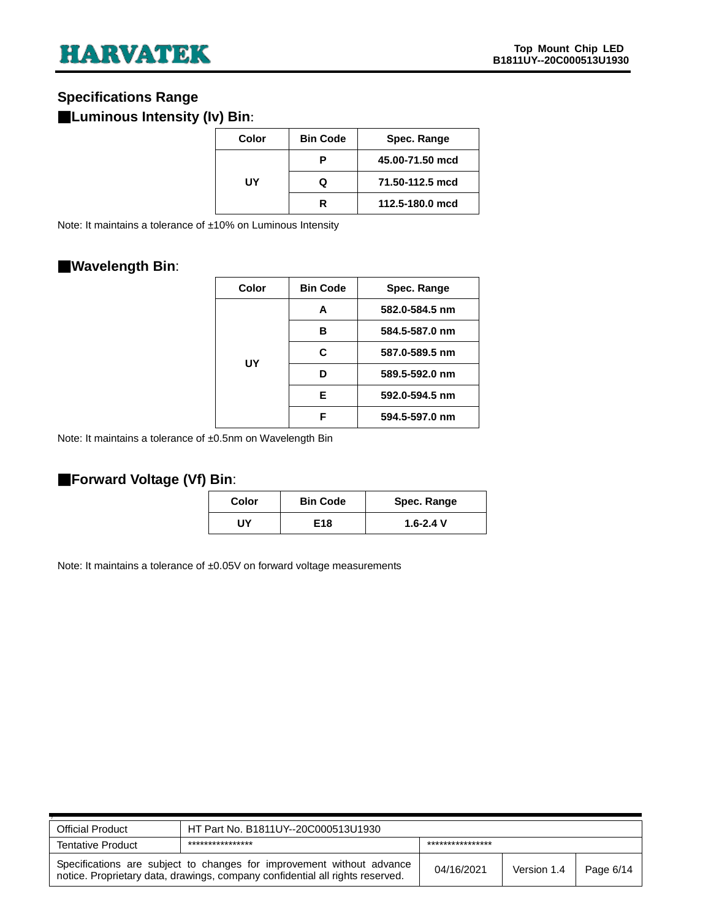## <span id="page-5-0"></span>**Specifications Range**

## ■**Luminous Intensity (Iv) Bin**:

| Color | <b>Bin Code</b> | Spec. Range     |  |  |
|-------|-----------------|-----------------|--|--|
|       | Р               | 45.00-71.50 mcd |  |  |
| UY    | Q               | 71.50-112.5 mcd |  |  |
|       | R               | 112.5-180.0 mcd |  |  |

Note: It maintains a tolerance of ±10% on Luminous Intensity

## ■**Wavelength Bin**:

| Color | <b>Bin Code</b> | Spec. Range    |
|-------|-----------------|----------------|
| UY    | A               | 582.0-584.5 nm |
|       | в               | 584.5-587.0 nm |
|       | C.              | 587.0-589.5 nm |
|       | ח               | 589.5-592.0 nm |
|       | F               | 592.0-594.5 nm |
|       | F               | 594.5-597.0 nm |

Note: It maintains a tolerance of ±0.5nm on Wavelength Bin

#### ■**Forward Voltage (Vf) Bin**:

| Color | <b>Bin Code</b> | Spec. Range   |
|-------|-----------------|---------------|
| JΥ    | E18             | $1.6 - 2.4$ V |

Note: It maintains a tolerance of ±0.05V on forward voltage measurements

| <b>Official Product</b>                                                                                                                                | HT Part No. B1811UY--20C000513U1930 |                  |             |           |  |
|--------------------------------------------------------------------------------------------------------------------------------------------------------|-------------------------------------|------------------|-------------|-----------|--|
| <b>Tentative Product</b>                                                                                                                               | ****************                    | **************** |             |           |  |
| Specifications are subject to changes for improvement without advance<br>notice. Proprietary data, drawings, company confidential all rights reserved. |                                     | 04/16/2021       | Version 1.4 | Page 6/14 |  |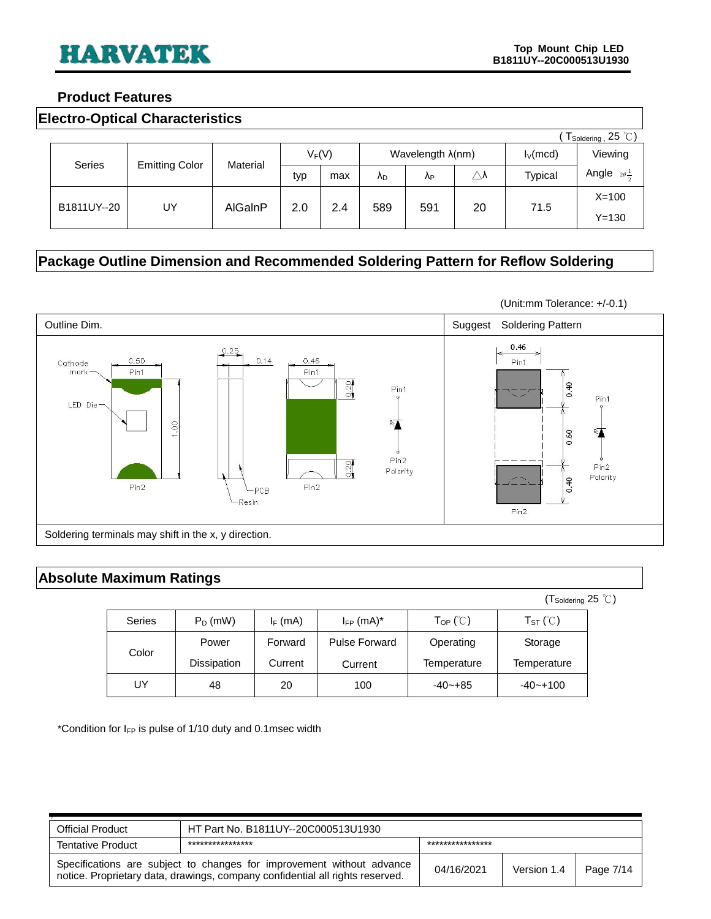#### <span id="page-6-0"></span>**Product Features**

<span id="page-6-1"></span>

|  | <b>Electro-Optical Characteristics</b> |
|--|----------------------------------------|
|--|----------------------------------------|

|               | $\dot{\ }$ $\mathsf{T}_{\mathsf{Soldering}}$ , 25 $\degree \text{C}$ ) |          |     |          |     |                           |                     |                |                      |
|---------------|------------------------------------------------------------------------|----------|-----|----------|-----|---------------------------|---------------------|----------------|----------------------|
|               |                                                                        |          |     | $V_F(V)$ |     | Wavelength $\lambda$ (nm) |                     | $I_V$ (mcd)    | Viewing              |
| <b>Series</b> | <b>Emitting Color</b>                                                  | Material | typ | max      | ΛD. | Λp                        | $\triangle \lambda$ | <b>Typical</b> | Angle<br>$2\theta -$ |
|               |                                                                        |          |     |          |     |                           |                     |                | $X=100$              |
| B1811UY--20   | UY                                                                     | AlGalnP  | 2.0 | 2.4      | 589 | 591                       | 20                  | 71.5           | $Y = 130$            |

# <span id="page-6-2"></span>**Package Outline Dimension and Recommended Soldering Pattern for Reflow Soldering**



#### <span id="page-6-3"></span>**Absolute Maximum Ratings**

|               |             |            |                            |                                             | $(T_{\text{Soldering}} 25^{\circ} \text{C})$ |  |
|---------------|-------------|------------|----------------------------|---------------------------------------------|----------------------------------------------|--|
| <b>Series</b> | $P_D$ (mW)  | $I_F$ (mA) | $I_{FP}$ (mA) <sup>*</sup> | $\mathsf{T}_{\mathsf{OP}}$ ( $\mathbb{C}$ ) | $T_{ST}$ ( $\degree$ C)                      |  |
| Color         | Power       | Forward    | <b>Pulse Forward</b>       | Operating                                   | Storage                                      |  |
|               | Dissipation | Current    | Current                    | Temperature                                 | Temperature                                  |  |
| UY            | 48          | 20         | 100                        | $-40 - +85$                                 | $-40 - +100$                                 |  |

\*Condition for  $I_{FP}$  is pulse of 1/10 duty and 0.1msec width

| <b>Official Product</b>                                                                                                                                | HT Part No. B1811UY--20C000513U1930 |                 |             |           |
|--------------------------------------------------------------------------------------------------------------------------------------------------------|-------------------------------------|-----------------|-------------|-----------|
| <b>Tentative Product</b>                                                                                                                               | ****************                    | *************** |             |           |
| Specifications are subject to changes for improvement without advance<br>notice. Proprietary data, drawings, company confidential all rights reserved. |                                     | 04/16/2021      | Version 1.4 | Page 7/14 |

(Unit:mm Tolerance: +/-0.1)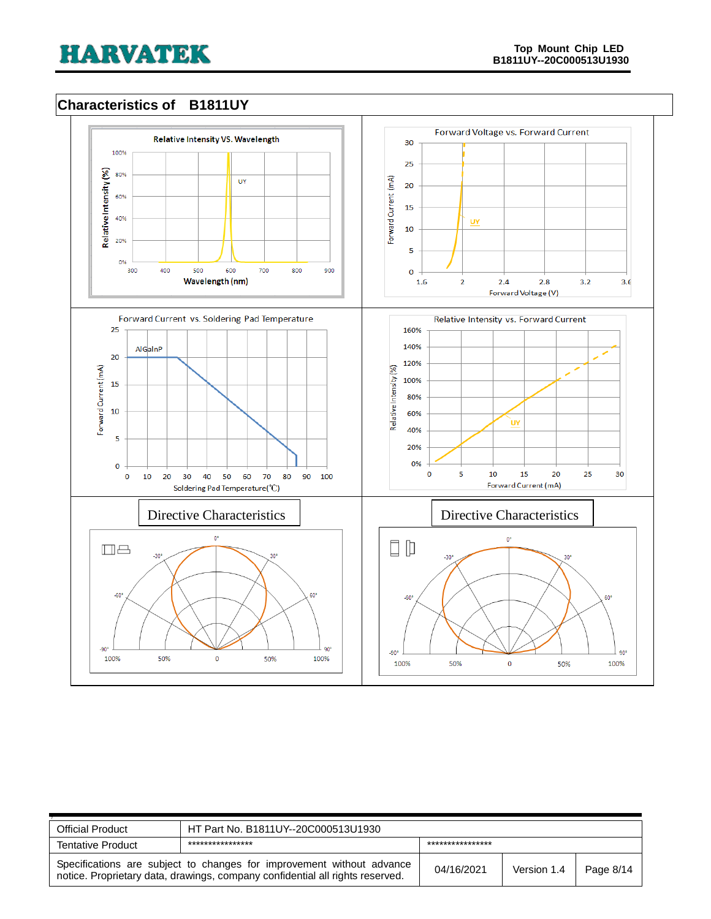### <span id="page-7-0"></span>**Characteristics of B1811UY**



| <b>Official Product</b>                                                                                                                                | HT Part No. B1811UY--20C000513U1930 |                 |             |           |
|--------------------------------------------------------------------------------------------------------------------------------------------------------|-------------------------------------|-----------------|-------------|-----------|
| <b>Tentative Product</b>                                                                                                                               | ****************                    | *************** |             |           |
| Specifications are subject to changes for improvement without advance<br>notice. Proprietary data, drawings, company confidential all rights reserved. |                                     | 04/16/2021      | Version 1.4 | Page 8/14 |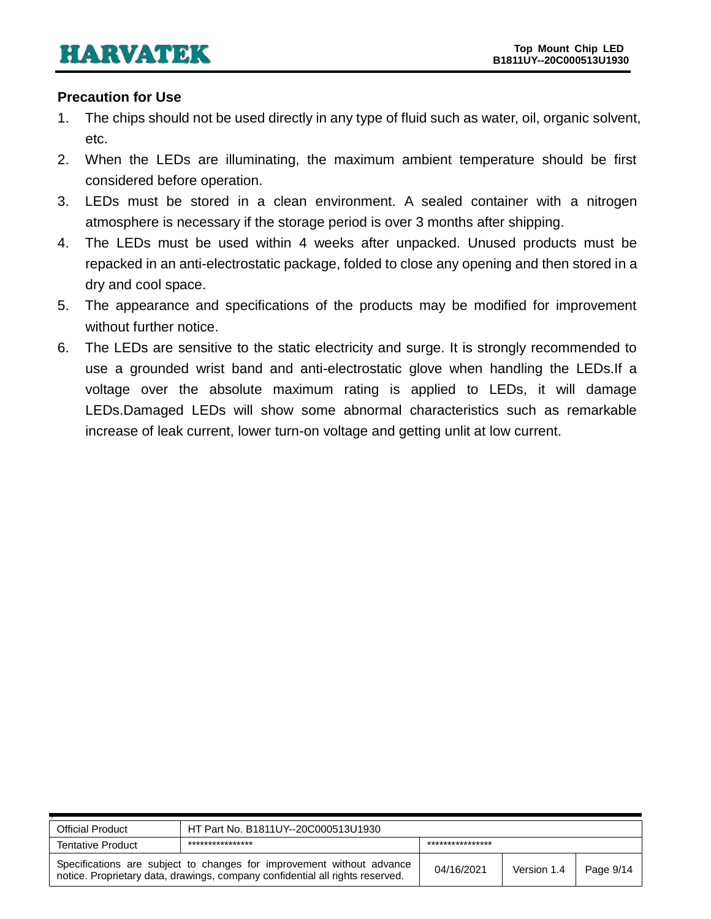#### <span id="page-8-0"></span>**Precaution for Use**

- 1. The chips should not be used directly in any type of fluid such as water, oil, organic solvent, etc.
- 2. When the LEDs are illuminating, the maximum ambient temperature should be first considered before operation.
- 3. LEDs must be stored in a clean environment. A sealed container with a nitrogen atmosphere is necessary if the storage period is over 3 months after shipping.
- 4. The LEDs must be used within 4 weeks after unpacked. Unused products must be repacked in an anti-electrostatic package, folded to close any opening and then stored in a dry and cool space.
- 5. The appearance and specifications of the products may be modified for improvement without further notice.
- 6. The LEDs are sensitive to the static electricity and surge. It is strongly recommended to use a grounded wrist band and anti-electrostatic glove when handling the LEDs.If a voltage over the absolute maximum rating is applied to LEDs, it will damage LEDs.Damaged LEDs will show some abnormal characteristics such as remarkable increase of leak current, lower turn-on voltage and getting unlit at low current.

| <b>Official Product</b>  | HT Part No. B1811UY--20C000513U1930                                                                                                                    |                  |             |           |
|--------------------------|--------------------------------------------------------------------------------------------------------------------------------------------------------|------------------|-------------|-----------|
| <b>Tentative Product</b> | ****************                                                                                                                                       | **************** |             |           |
|                          | Specifications are subject to changes for improvement without advance<br>notice. Proprietary data, drawings, company confidential all rights reserved. | 04/16/2021       | Version 1.4 | Page 9/14 |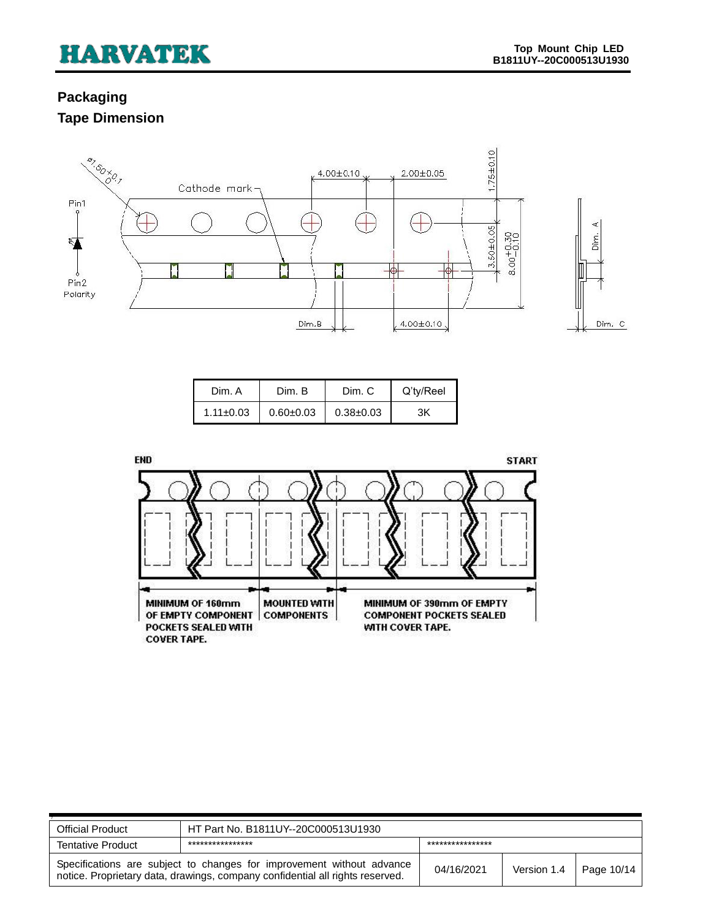# <span id="page-9-1"></span><span id="page-9-0"></span>**Packaging Tape Dimension**



| Dim. A          | Dim. B        | Dim. C        | Q'ty/Reel |
|-----------------|---------------|---------------|-----------|
| $1.11 \pm 0.03$ | $0.60 + 0.03$ | $0.38 + 0.03$ | ЗK        |



| <b>Official Product</b>  | HT Part No. B1811UY--20C000513U1930                                                                                                                    |                  |             |                   |
|--------------------------|--------------------------------------------------------------------------------------------------------------------------------------------------------|------------------|-------------|-------------------|
| <b>Tentative Product</b> | ****************                                                                                                                                       | **************** |             |                   |
|                          | Specifications are subject to changes for improvement without advance<br>notice. Proprietary data, drawings, company confidential all rights reserved. | 04/16/2021       | Version 1.4 | $\mid$ Page 10/14 |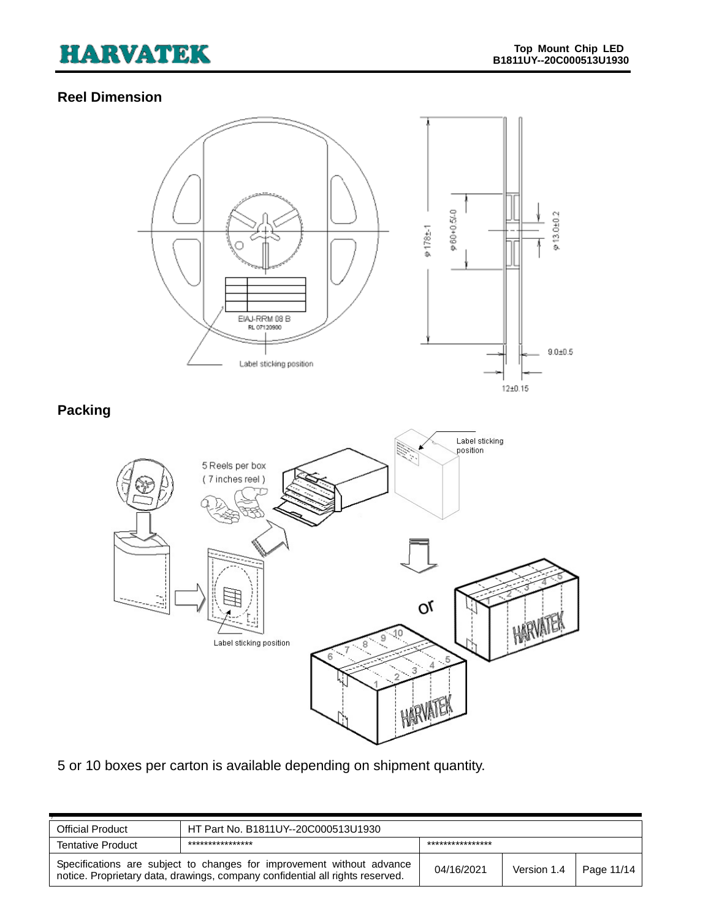# <span id="page-10-0"></span>**Reel Dimension**

<span id="page-10-1"></span>

5 or 10 boxes per carton is available depending on shipment quantity.

| <b>Official Product</b>                                                                                                                                | HT Part No. B1811UY--20C000513U1930 |                  |             |            |
|--------------------------------------------------------------------------------------------------------------------------------------------------------|-------------------------------------|------------------|-------------|------------|
| <b>Tentative Product</b>                                                                                                                               | ****************                    | **************** |             |            |
| Specifications are subject to changes for improvement without advance<br>notice. Proprietary data, drawings, company confidential all rights reserved. |                                     | 04/16/2021       | Version 1.4 | Page 11/14 |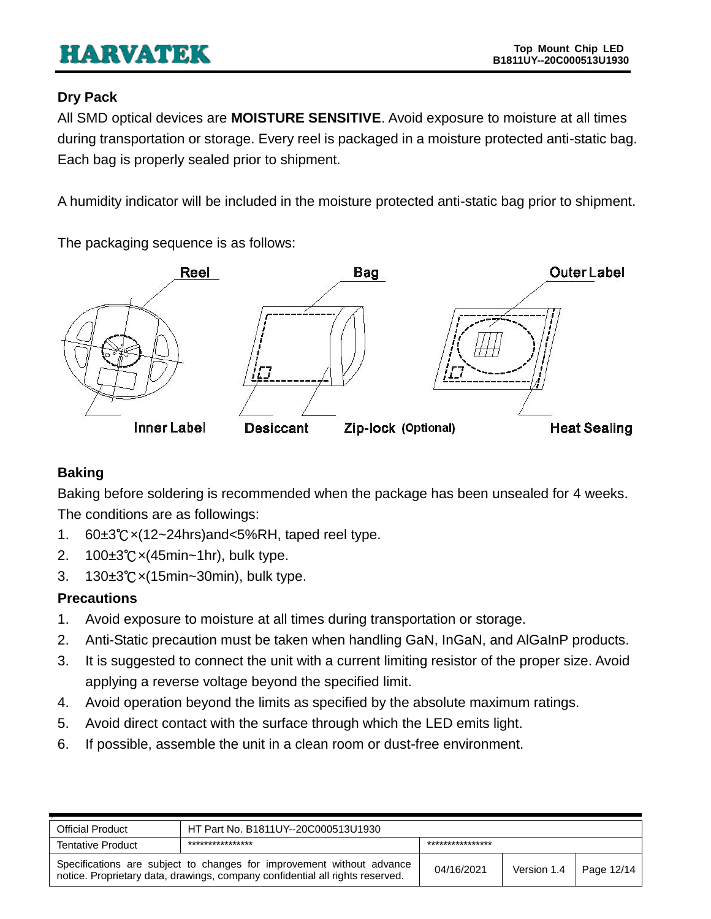## <span id="page-11-0"></span>**Dry Pack**

All SMD optical devices are **MOISTURE SENSITIVE**. Avoid exposure to moisture at all times during transportation or storage. Every reel is packaged in a moisture protected anti-static bag. Each bag is properly sealed prior to shipment.

A humidity indicator will be included in the moisture protected anti-static bag prior to shipment.

The packaging sequence is as follows:



# <span id="page-11-1"></span>**Baking**

Baking before soldering is recommended when the package has been unsealed for 4 weeks. The conditions are as followings:

- 1. 60±3℃×(12~24hrs)and<5%RH, taped reel type.
- 2. 100±3℃×(45min~1hr), bulk type.
- 3. 130±3℃×(15min~30min), bulk type.

# <span id="page-11-2"></span>**Precautions**

- 1. Avoid exposure to moisture at all times during transportation or storage.
- 2. Anti-Static precaution must be taken when handling GaN, InGaN, and AlGaInP products.
- 3. It is suggested to connect the unit with a current limiting resistor of the proper size. Avoid applying a reverse voltage beyond the specified limit.
- 4. Avoid operation beyond the limits as specified by the absolute maximum ratings.
- 5. Avoid direct contact with the surface through which the LED emits light.
- 6. If possible, assemble the unit in a clean room or dust-free environment.

| <b>Official Product</b>                                                                                                                                | HT Part No. B1811UY--20C000513U1930 |                 |             |            |
|--------------------------------------------------------------------------------------------------------------------------------------------------------|-------------------------------------|-----------------|-------------|------------|
| <b>Tentative Product</b>                                                                                                                               | ***************                     | *************** |             |            |
| Specifications are subject to changes for improvement without advance<br>notice. Proprietary data, drawings, company confidential all rights reserved. |                                     | 04/16/2021      | Version 1.4 | Page 12/14 |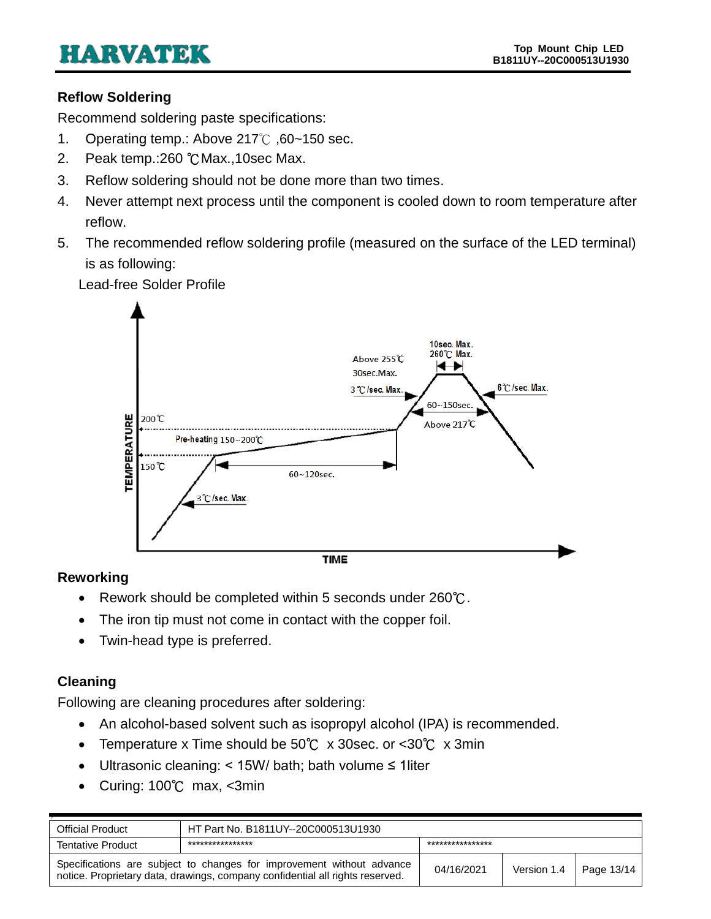## <span id="page-12-0"></span>**Reflow Soldering**

Recommend soldering paste specifications:

- 1. Operating temp.: Above 217℃ ,60~150 sec.
- 2. Peak temp.:260 ℃Max.,10sec Max.
- 3. Reflow soldering should not be done more than two times.
- 4. Never attempt next process until the component is cooled down to room temperature after reflow.
- 5. The recommended reflow soldering profile (measured on the surface of the LED terminal) is as following:

Lead-free Solder Profile



### <span id="page-12-1"></span>**Reworking**

- Rework should be completed within 5 seconds under 260℃.
- The iron tip must not come in contact with the copper foil.
- Twin-head type is preferred.

### <span id="page-12-2"></span>**Cleaning**

Following are cleaning procedures after soldering:

- An alcohol-based solvent such as isopropyl alcohol (IPA) is recommended.
- Temperature x Time should be 50℃ x 30sec. or <30℃ x 3min
- Ultrasonic cleaning: < 15W/ bath; bath volume ≤ 1liter
- Curing: 100℃ max, <3min

| <b>Official Product</b>                                                                                                                                | HT Part No. B1811UY--20C000513U1930 |                  |             |            |
|--------------------------------------------------------------------------------------------------------------------------------------------------------|-------------------------------------|------------------|-------------|------------|
| <b>Tentative Product</b>                                                                                                                               | ****************                    | **************** |             |            |
| Specifications are subject to changes for improvement without advance<br>notice. Proprietary data, drawings, company confidential all rights reserved. |                                     | 04/16/2021       | Version 1.4 | Page 13/14 |